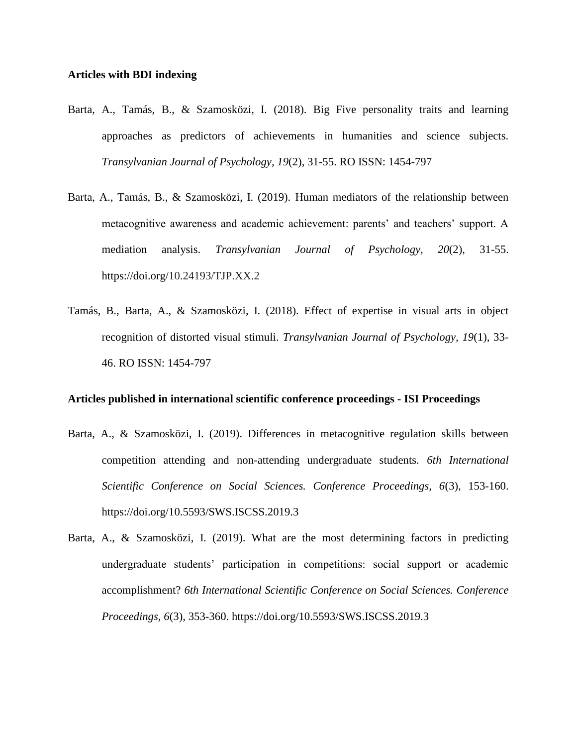### **Articles with BDI indexing**

- Barta, A., Tamás, B., & Szamosközi, I. (2018). Big Five personality traits and learning approaches as predictors of achievements in humanities and science subjects. *Transylvanian Journal of Psychology, 19*(2), 31-55. RO ISSN: 1454-797
- Barta, A., Tamás, B., & Szamosközi, I. (2019). Human mediators of the relationship between metacognitive awareness and academic achievement: parents' and teachers' support. A mediation analysis. *Transylvanian Journal of Psychology, 20*(2), 31-55. https://doi.org/10.24193/TJP.XX.2
- Tamás, B., Barta, A., & Szamosközi, I. (2018). Effect of expertise in visual arts in object recognition of distorted visual stimuli. *Transylvanian Journal of Psychology, 19*(1), 33- 46. RO ISSN: 1454-797

#### **Articles published in international scientific conference proceedings - ISI Proceedings**

- Barta, A., & Szamosközi, I. (2019). Differences in metacognitive regulation skills between competition attending and non-attending undergraduate students. *6th International Scientific Conference on Social Sciences. Conference Proceedings, 6*(3), 153-160. https://doi.org/10.5593/SWS.ISCSS.2019.3
- Barta, A., & Szamosközi, I. (2019). What are the most determining factors in predicting undergraduate students' participation in competitions: social support or academic accomplishment? *6th International Scientific Conference on Social Sciences. Conference Proceedings, 6*(3), 353-360. https://doi.org/10.5593/SWS.ISCSS.2019.3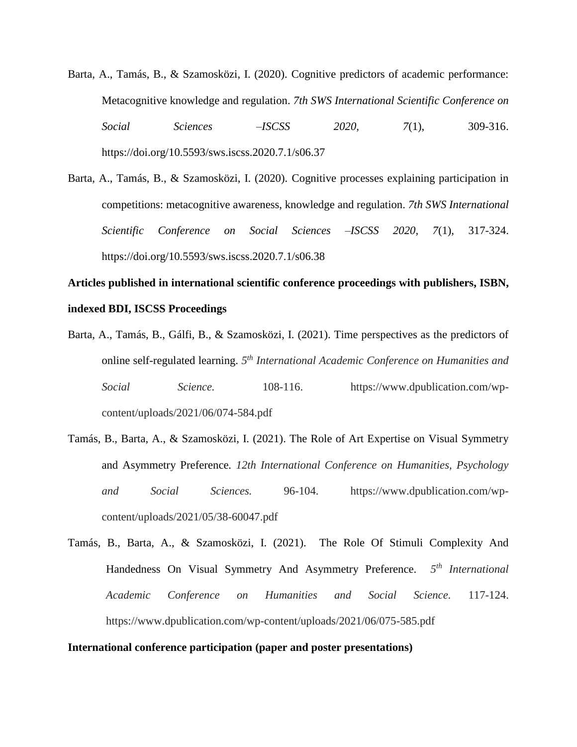- Barta, A., Tamás, B., & Szamosközi, I. (2020). Cognitive predictors of academic performance: Metacognitive knowledge and regulation. *7th SWS International Scientific Conference on Social Sciences –ISCSS 2020, 7*(1), 309-316. https://doi.org/10.5593/sws.iscss.2020.7.1/s06.37
- Barta, A., Tamás, B., & Szamosközi, I. (2020). Cognitive processes explaining participation in competitions: metacognitive awareness, knowledge and regulation. *7th SWS International Scientific Conference on Social Sciences –ISCSS 2020, 7*(1), 317-324. <https://doi.org/10.5593/sws.iscss.2020.7.1/s06.38>

# **Articles published in international scientific conference proceedings with publishers, ISBN, indexed BDI, ISCSS Proceedings**

- Barta, A., Tamás, B., Gálfi, B., & Szamosközi, I. (2021). Time perspectives as the predictors of online self-regulated learning. *5 th International Academic Conference on Humanities and Social Science.* 108-116. https://www.dpublication.com/wpcontent/uploads/2021/06/074-584.pdf
- Tamás, B., Barta, A., & Szamosközi, I. (2021). The Role of Art Expertise on Visual Symmetry and Asymmetry Preference*. 12th International Conference on Humanities, Psychology and Social Sciences.* 96-104. https://www.dpublication.com/wpcontent/uploads/2021/05/38-60047.pdf
- Tamás, B., Barta, A., & Szamosközi, I. (2021). The Role Of Stimuli Complexity And Handedness On Visual Symmetry And Asymmetry Preference. *5 th International Academic Conference on Humanities and Social Science.* 117-124. https://www.dpublication.com/wp-content/uploads/2021/06/075-585.pdf

### **International conference participation (paper and poster presentations)**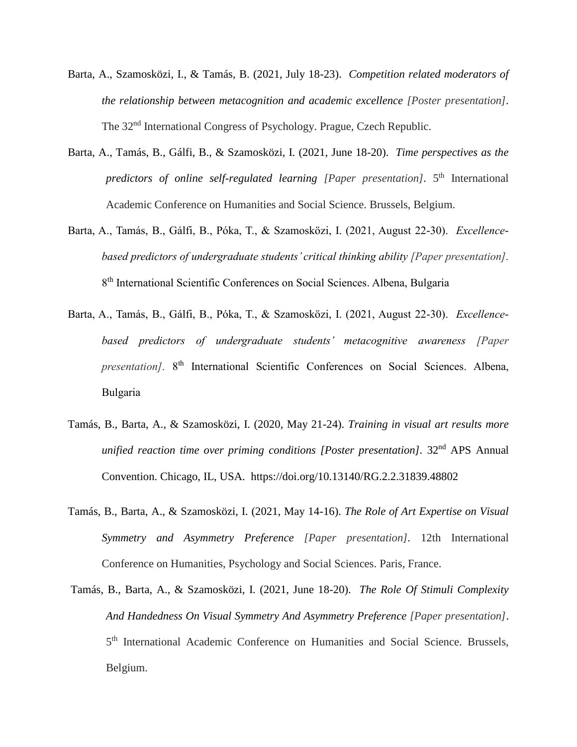- Barta, A., Szamosközi, I., & Tamás, B. (2021, July 18-23). *Competition related moderators of the relationship between metacognition and academic excellence [Poster presentation].* The 32<sup>nd</sup> International Congress of Psychology, Prague, Czech Republic.
- Barta, A., Tamás, B., Gálfi, B., & Szamosközi, I. (2021, June 18-20). *Time perspectives as the*  predictors of online self-regulated learning [Paper presentation]. 5<sup>th</sup> International Academic Conference on Humanities and Social Science. Brussels, Belgium.
- Barta, A., Tamás, B., Gálfi, B., Póka, T., & Szamosközi, I. (2021, August 22-30). *Excellencebased predictors of undergraduate students' critical thinking ability [Paper presentation].*  8<sup>th</sup> International Scientific Conferences on Social Sciences. Albena, Bulgaria
- Barta, A., Tamás, B., Gálfi, B., Póka, T., & Szamosközi, I. (2021, August 22-30). *Excellencebased predictors of undergraduate students' metacognitive awareness [Paper*  presentation]. 8<sup>th</sup> International Scientific Conferences on Social Sciences. Albena, Bulgaria
- Tamás, B., Barta, A., & Szamosközi, I. (2020, May 21-24). *Training in visual art results more unified reaction time over priming conditions [Poster presentation].* 32<sup>nd</sup> APS Annual Convention. Chicago, IL, USA. https://doi.org[/10.13140/RG.2.2.31839.48802](http://dx.doi.org/10.13140/RG.2.2.31839.48802)
- Tamás, B., Barta, A., & Szamosközi, I. (2021, May 14-16). *The Role of Art Expertise on Visual Symmetry and Asymmetry Preference [Paper presentation].* 12th International Conference on Humanities, Psychology and Social Sciences. Paris, France.
- Tamás, B., Barta, A., & Szamosközi, I. (2021, June 18-20). *The Role Of Stimuli Complexity And Handedness On Visual Symmetry And Asymmetry Preference [Paper presentation]*. 5<sup>th</sup> International Academic Conference on Humanities and Social Science. Brussels, Belgium.